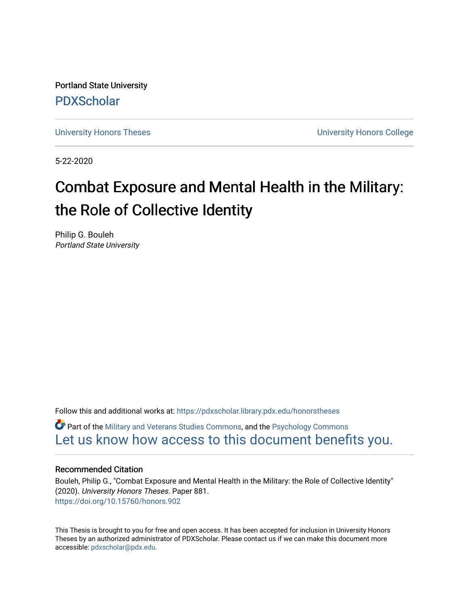Portland State University [PDXScholar](https://pdxscholar.library.pdx.edu/)

[University Honors Theses](https://pdxscholar.library.pdx.edu/honorstheses) [University Honors College](https://pdxscholar.library.pdx.edu/honors) 

5-22-2020

# Combat Exposure and Mental Health in the Military: the Role of Collective Identity

Philip G. Bouleh Portland State University

Follow this and additional works at: [https://pdxscholar.library.pdx.edu/honorstheses](https://pdxscholar.library.pdx.edu/honorstheses?utm_source=pdxscholar.library.pdx.edu%2Fhonorstheses%2F881&utm_medium=PDF&utm_campaign=PDFCoverPages) 

Part of the [Military and Veterans Studies Commons](https://network.bepress.com/hgg/discipline/396?utm_source=pdxscholar.library.pdx.edu%2Fhonorstheses%2F881&utm_medium=PDF&utm_campaign=PDFCoverPages), and the [Psychology Commons](https://network.bepress.com/hgg/discipline/404?utm_source=pdxscholar.library.pdx.edu%2Fhonorstheses%2F881&utm_medium=PDF&utm_campaign=PDFCoverPages)  [Let us know how access to this document benefits you.](http://library.pdx.edu/services/pdxscholar-services/pdxscholar-feedback/) 

# Recommended Citation

Bouleh, Philip G., "Combat Exposure and Mental Health in the Military: the Role of Collective Identity" (2020). University Honors Theses. Paper 881. <https://doi.org/10.15760/honors.902>

This Thesis is brought to you for free and open access. It has been accepted for inclusion in University Honors Theses by an authorized administrator of PDXScholar. Please contact us if we can make this document more accessible: [pdxscholar@pdx.edu.](mailto:pdxscholar@pdx.edu)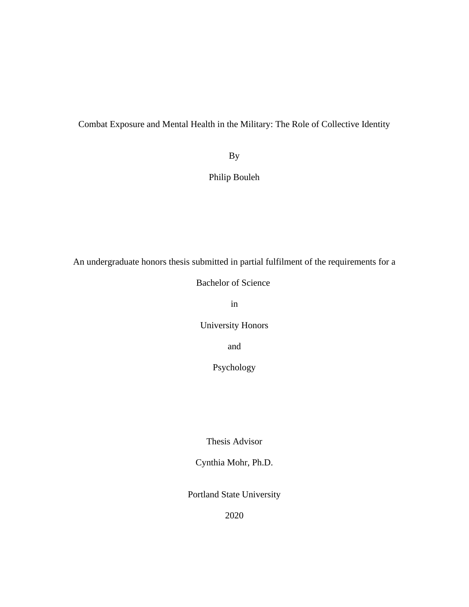# Combat Exposure and Mental Health in the Military: The Role of Collective Identity

By

Philip Bouleh

An undergraduate honors thesis submitted in partial fulfilment of the requirements for a

Bachelor of Science

in

University Honors

and

Psychology

Thesis Advisor

Cynthia Mohr, Ph.D.

Portland State University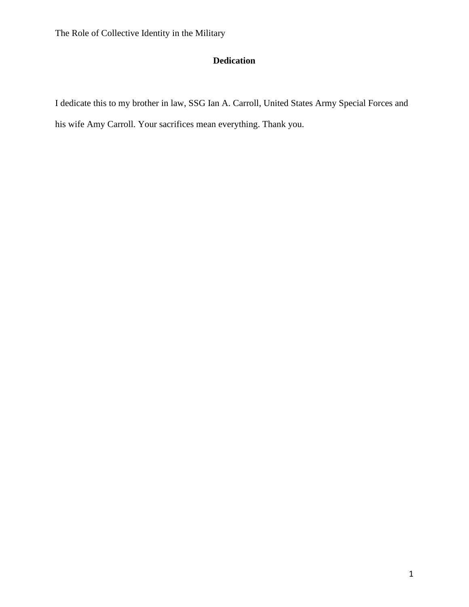The Role of Collective Identity in the Military

# **Dedication**

I dedicate this to my brother in law, SSG Ian A. Carroll, United States Army Special Forces and his wife Amy Carroll. Your sacrifices mean everything. Thank you.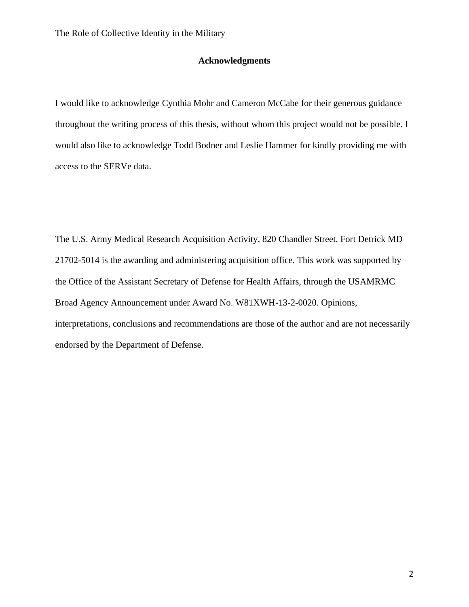# **Acknowledgments**

I would like to acknowledge Cynthia Mohr and Cameron McCabe for their generous guidance throughout the writing process of this thesis, without whom this project would not be possible. I would also like to acknowledge Todd Bodner and Leslie Hammer for kindly providing me with access to the SERVe data.

The U.S. Army Medical Research Acquisition Activity, 820 Chandler Street, Fort Detrick MD 21702-5014 is the awarding and administering acquisition office. This work was supported by the Office of the Assistant Secretary of Defense for Health Affairs, through the USAMRMC Broad Agency Announcement under Award No. W81XWH-13-2-0020. Opinions, interpretations, conclusions and recommendations are those of the author and are not necessarily endorsed by the Department of Defense.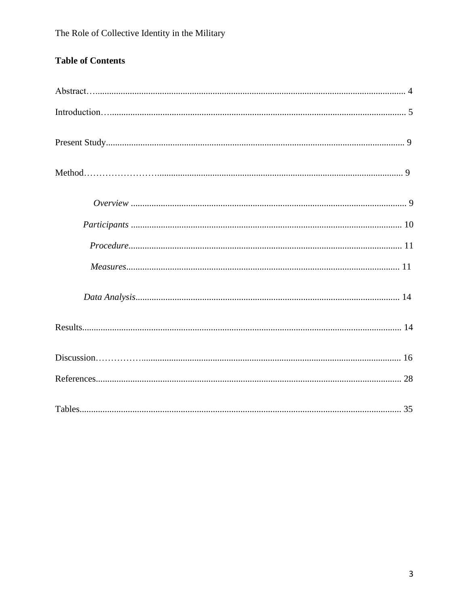# **Table of Contents**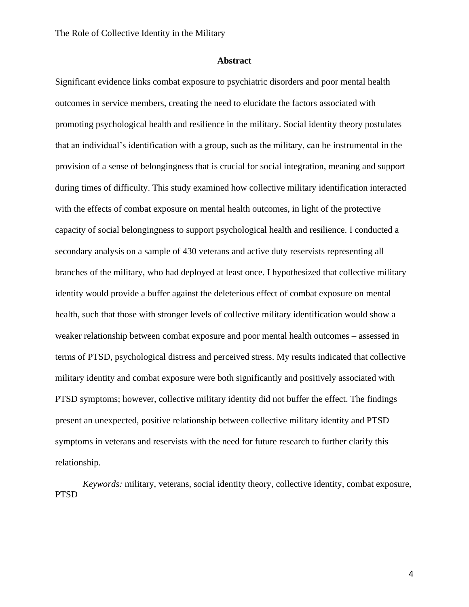#### **Abstract**

Significant evidence links combat exposure to psychiatric disorders and poor mental health outcomes in service members, creating the need to elucidate the factors associated with promoting psychological health and resilience in the military. Social identity theory postulates that an individual's identification with a group, such as the military, can be instrumental in the provision of a sense of belongingness that is crucial for social integration, meaning and support during times of difficulty. This study examined how collective military identification interacted with the effects of combat exposure on mental health outcomes, in light of the protective capacity of social belongingness to support psychological health and resilience. I conducted a secondary analysis on a sample of 430 veterans and active duty reservists representing all branches of the military, who had deployed at least once. I hypothesized that collective military identity would provide a buffer against the deleterious effect of combat exposure on mental health, such that those with stronger levels of collective military identification would show a weaker relationship between combat exposure and poor mental health outcomes – assessed in terms of PTSD, psychological distress and perceived stress. My results indicated that collective military identity and combat exposure were both significantly and positively associated with PTSD symptoms; however, collective military identity did not buffer the effect. The findings present an unexpected, positive relationship between collective military identity and PTSD symptoms in veterans and reservists with the need for future research to further clarify this relationship.

*Keywords:* military, veterans, social identity theory, collective identity, combat exposure, **PTSD**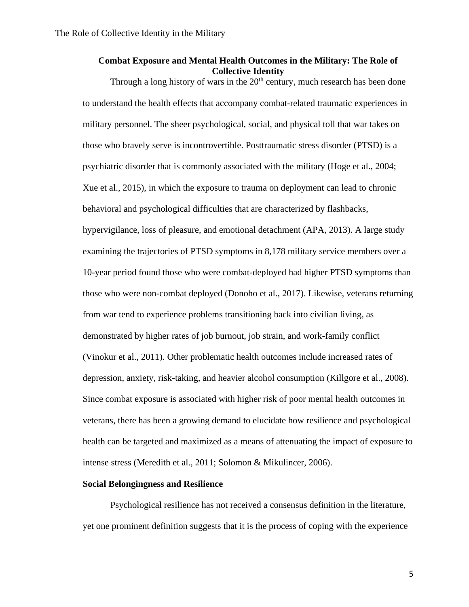# **Combat Exposure and Mental Health Outcomes in the Military: The Role of Collective Identity**

Through a long history of wars in the  $20<sup>th</sup>$  century, much research has been done to understand the health effects that accompany combat-related traumatic experiences in military personnel. The sheer psychological, social, and physical toll that war takes on those who bravely serve is incontrovertible. Posttraumatic stress disorder (PTSD) is a psychiatric disorder that is commonly associated with the military (Hoge et al., 2004; Xue et al., 2015), in which the exposure to trauma on deployment can lead to chronic behavioral and psychological difficulties that are characterized by flashbacks, hypervigilance, loss of pleasure, and emotional detachment (APA, 2013). A large study examining the trajectories of PTSD symptoms in 8,178 military service members over a 10-year period found those who were combat-deployed had higher PTSD symptoms than those who were non-combat deployed (Donoho et al., 2017). Likewise, veterans returning from war tend to experience problems transitioning back into civilian living, as demonstrated by higher rates of job burnout, job strain, and work-family conflict (Vinokur et al., 2011). Other problematic health outcomes include increased rates of depression, anxiety, risk-taking, and heavier alcohol consumption (Killgore et al., 2008). Since combat exposure is associated with higher risk of poor mental health outcomes in veterans, there has been a growing demand to elucidate how resilience and psychological health can be targeted and maximized as a means of attenuating the impact of exposure to intense stress (Meredith et al., 2011; Solomon & Mikulincer, 2006).

#### **Social Belongingness and Resilience**

Psychological resilience has not received a consensus definition in the literature, yet one prominent definition suggests that it is the process of coping with the experience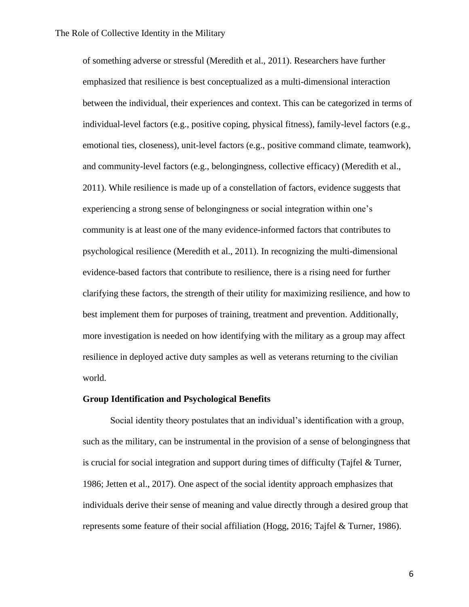of something adverse or stressful (Meredith et al., 2011). Researchers have further emphasized that resilience is best conceptualized as a multi-dimensional interaction between the individual, their experiences and context. This can be categorized in terms of individual-level factors (e.g., positive coping, physical fitness), family-level factors (e.g., emotional ties, closeness), unit-level factors (e.g., positive command climate, teamwork), and community-level factors (e.g., belongingness, collective efficacy) (Meredith et al., 2011). While resilience is made up of a constellation of factors, evidence suggests that experiencing a strong sense of belongingness or social integration within one's community is at least one of the many evidence-informed factors that contributes to psychological resilience (Meredith et al., 2011). In recognizing the multi-dimensional evidence-based factors that contribute to resilience, there is a rising need for further clarifying these factors, the strength of their utility for maximizing resilience, and how to best implement them for purposes of training, treatment and prevention. Additionally, more investigation is needed on how identifying with the military as a group may affect resilience in deployed active duty samples as well as veterans returning to the civilian world.

#### **Group Identification and Psychological Benefits**

Social identity theory postulates that an individual's identification with a group, such as the military, can be instrumental in the provision of a sense of belongingness that is crucial for social integration and support during times of difficulty (Tajfel  $\&$  Turner, 1986; Jetten et al., 2017). One aspect of the social identity approach emphasizes that individuals derive their sense of meaning and value directly through a desired group that represents some feature of their social affiliation (Hogg, 2016; Tajfel & Turner, 1986).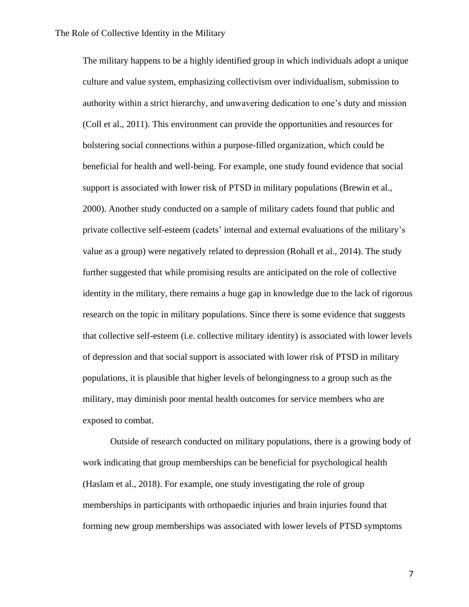The military happens to be a highly identified group in which individuals adopt a unique culture and value system, emphasizing collectivism over individualism, submission to authority within a strict hierarchy, and unwavering dedication to one's duty and mission (Coll et al., 2011). This environment can provide the opportunities and resources for bolstering social connections within a purpose-filled organization, which could be beneficial for health and well-being. For example, one study found evidence that social support is associated with lower risk of PTSD in military populations (Brewin et al., 2000). Another study conducted on a sample of military cadets found that public and private collective self-esteem (cadets' internal and external evaluations of the military's value as a group) were negatively related to depression (Rohall et al., 2014). The study further suggested that while promising results are anticipated on the role of collective identity in the military, there remains a huge gap in knowledge due to the lack of rigorous research on the topic in military populations. Since there is some evidence that suggests that collective self-esteem (i.e. collective military identity) is associated with lower levels of depression and that social support is associated with lower risk of PTSD in military populations, it is plausible that higher levels of belongingness to a group such as the military, may diminish poor mental health outcomes for service members who are exposed to combat.

Outside of research conducted on military populations, there is a growing body of work indicating that group memberships can be beneficial for psychological health (Haslam et al., 2018). For example, one study investigating the role of group memberships in participants with orthopaedic injuries and brain injuries found that forming new group memberships was associated with lower levels of PTSD symptoms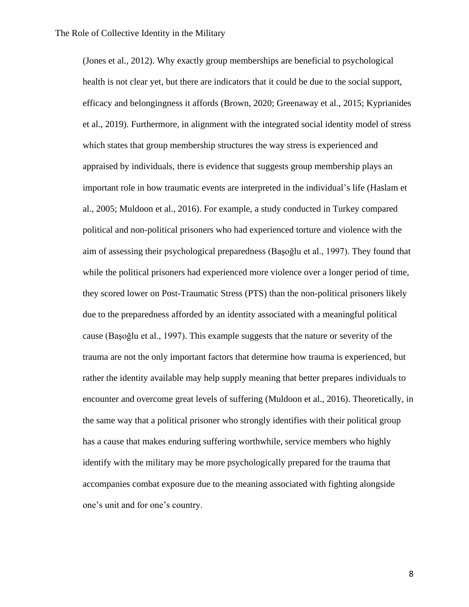(Jones et al., 2012). Why exactly group memberships are beneficial to psychological health is not clear yet, but there are indicators that it could be due to the social support, efficacy and belongingness it affords (Brown, 2020; Greenaway et al., 2015; Kyprianides et al., 2019). Furthermore, in alignment with the integrated social identity model of stress which states that group membership structures the way stress is experienced and appraised by individuals, there is evidence that suggests group membership plays an important role in how traumatic events are interpreted in the individual's life (Haslam et al., 2005; Muldoon et al., 2016). For example, a study conducted in Turkey compared political and non-political prisoners who had experienced torture and violence with the aim of assessing their psychological preparedness (Başoğlu et al., 1997). They found that while the political prisoners had experienced more violence over a longer period of time, they scored lower on Post-Traumatic Stress (PTS) than the non-political prisoners likely due to the preparedness afforded by an identity associated with a meaningful political cause (Başoğlu et al., 1997). This example suggests that the nature or severity of the trauma are not the only important factors that determine how trauma is experienced, but rather the identity available may help supply meaning that better prepares individuals to encounter and overcome great levels of suffering (Muldoon et al., 2016). Theoretically, in the same way that a political prisoner who strongly identifies with their political group has a cause that makes enduring suffering worthwhile, service members who highly identify with the military may be more psychologically prepared for the trauma that accompanies combat exposure due to the meaning associated with fighting alongside one's unit and for one's country.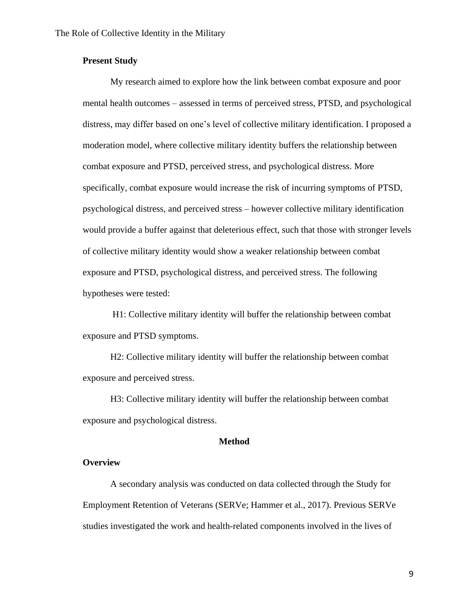# **Present Study**

My research aimed to explore how the link between combat exposure and poor mental health outcomes – assessed in terms of perceived stress, PTSD, and psychological distress, may differ based on one's level of collective military identification. I proposed a moderation model, where collective military identity buffers the relationship between combat exposure and PTSD, perceived stress, and psychological distress. More specifically, combat exposure would increase the risk of incurring symptoms of PTSD, psychological distress, and perceived stress – however collective military identification would provide a buffer against that deleterious effect, such that those with stronger levels of collective military identity would show a weaker relationship between combat exposure and PTSD, psychological distress, and perceived stress. The following hypotheses were tested:

H1: Collective military identity will buffer the relationship between combat exposure and PTSD symptoms.

H2: Collective military identity will buffer the relationship between combat exposure and perceived stress.

H3: Collective military identity will buffer the relationship between combat exposure and psychological distress.

#### **Method**

#### **Overview**

A secondary analysis was conducted on data collected through the Study for Employment Retention of Veterans (SERVe; Hammer et al., 2017). Previous SERVe studies investigated the work and health-related components involved in the lives of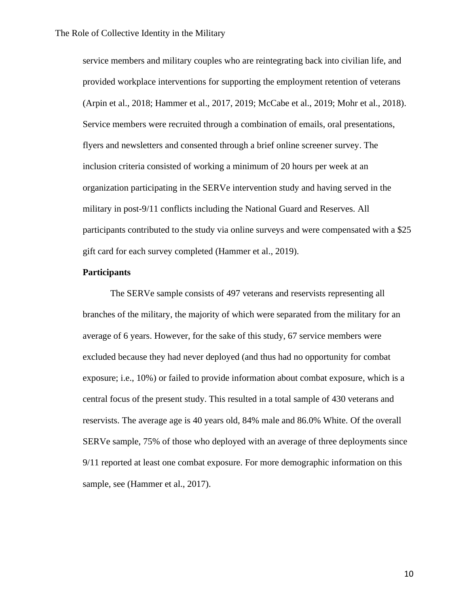service members and military couples who are reintegrating back into civilian life, and provided workplace interventions for supporting the employment retention of veterans (Arpin et al., 2018; Hammer et al., 2017, 2019; McCabe et al., 2019; Mohr et al., 2018). Service members were recruited through a combination of emails, oral presentations, flyers and newsletters and consented through a brief online screener survey. The inclusion criteria consisted of working a minimum of 20 hours per week at an organization participating in the SERVe intervention study and having served in the military in post-9/11 conflicts including the National Guard and Reserves. All participants contributed to the study via online surveys and were compensated with a \$25 gift card for each survey completed (Hammer et al., 2019).

#### **Participants**

The SERVe sample consists of 497 veterans and reservists representing all branches of the military, the majority of which were separated from the military for an average of 6 years. However, for the sake of this study, 67 service members were excluded because they had never deployed (and thus had no opportunity for combat exposure; i.e., 10%) or failed to provide information about combat exposure, which is a central focus of the present study. This resulted in a total sample of 430 veterans and reservists. The average age is 40 years old, 84% male and 86.0% White. Of the overall SERVe sample, 75% of those who deployed with an average of three deployments since 9/11 reported at least one combat exposure. For more demographic information on this sample, see (Hammer et al., 2017).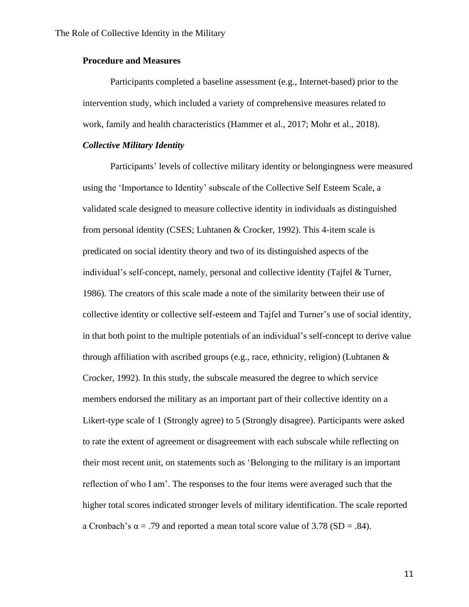#### **Procedure and Measures**

Participants completed a baseline assessment (e.g., Internet-based) prior to the intervention study, which included a variety of comprehensive measures related to work, family and health characteristics (Hammer et al., 2017; Mohr et al., 2018).

### *Collective Military Identity*

Participants' levels of collective military identity or belongingness were measured using the 'Importance to Identity' subscale of the Collective Self Esteem Scale, a validated scale designed to measure collective identity in individuals as distinguished from personal identity (CSES; Luhtanen & Crocker, 1992). This 4-item scale is predicated on social identity theory and two of its distinguished aspects of the individual's self-concept, namely, personal and collective identity (Tajfel & Turner, 1986). The creators of this scale made a note of the similarity between their use of collective identity or collective self-esteem and Tajfel and Turner's use of social identity, in that both point to the multiple potentials of an individual's self-concept to derive value through affiliation with ascribed groups (e.g., race, ethnicity, religion) (Luhtanen & Crocker, 1992). In this study, the subscale measured the degree to which service members endorsed the military as an important part of their collective identity on a Likert-type scale of 1 (Strongly agree) to 5 (Strongly disagree). Participants were asked to rate the extent of agreement or disagreement with each subscale while reflecting on their most recent unit, on statements such as 'Belonging to the military is an important reflection of who I am'. The responses to the four items were averaged such that the higher total scores indicated stronger levels of military identification. The scale reported a Cronbach's  $\alpha$  = .79 and reported a mean total score value of 3.78 (SD = .84).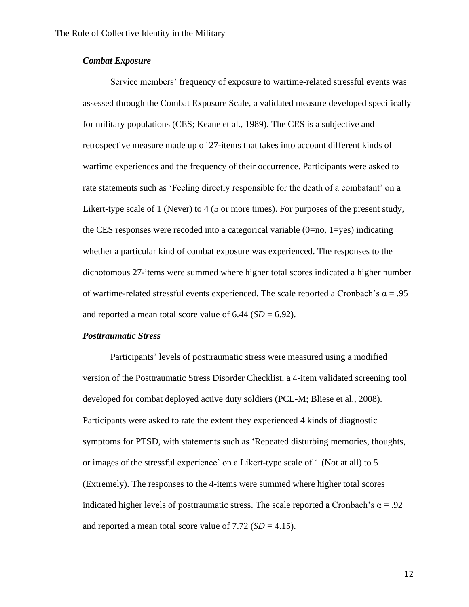# *Combat Exposure*

Service members' frequency of exposure to wartime-related stressful events was assessed through the Combat Exposure Scale, a validated measure developed specifically for military populations (CES; Keane et al., 1989). The CES is a subjective and retrospective measure made up of 27-items that takes into account different kinds of wartime experiences and the frequency of their occurrence. Participants were asked to rate statements such as 'Feeling directly responsible for the death of a combatant' on a Likert-type scale of 1 (Never) to 4 (5 or more times). For purposes of the present study, the CES responses were recoded into a categorical variable  $(0=no, 1=yes)$  indicating whether a particular kind of combat exposure was experienced. The responses to the dichotomous 27-items were summed where higher total scores indicated a higher number of wartime-related stressful events experienced. The scale reported a Cronbach's  $\alpha = .95$ and reported a mean total score value of  $6.44$  (*SD* =  $6.92$ ).

#### *Posttraumatic Stress*

Participants' levels of posttraumatic stress were measured using a modified version of the Posttraumatic Stress Disorder Checklist, a 4-item validated screening tool developed for combat deployed active duty soldiers (PCL-M; Bliese et al., 2008). Participants were asked to rate the extent they experienced 4 kinds of diagnostic symptoms for PTSD, with statements such as 'Repeated disturbing memories, thoughts, or images of the stressful experience' on a Likert-type scale of 1 (Not at all) to 5 (Extremely). The responses to the 4-items were summed where higher total scores indicated higher levels of posttraumatic stress. The scale reported a Cronbach's  $\alpha = .92$ and reported a mean total score value of  $7.72$  (*SD* = 4.15).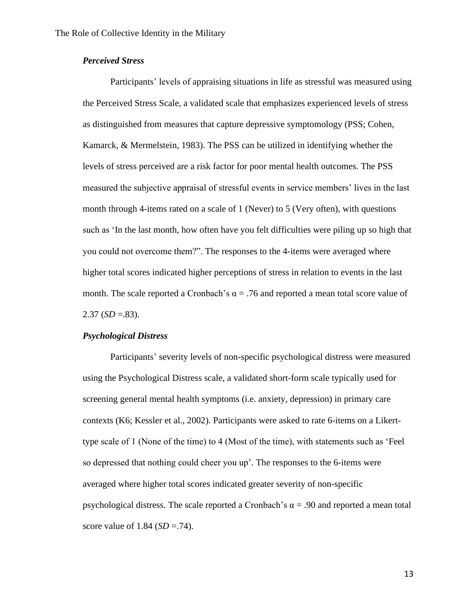# *Perceived Stress*

Participants' levels of appraising situations in life as stressful was measured using the Perceived Stress Scale, a validated scale that emphasizes experienced levels of stress as distinguished from measures that capture depressive symptomology (PSS; Cohen, Kamarck, & Mermelstein, 1983). The PSS can be utilized in identifying whether the levels of stress perceived are a risk factor for poor mental health outcomes. The PSS measured the subjective appraisal of stressful events in service members' lives in the last month through 4-items rated on a scale of 1 (Never) to 5 (Very often), with questions such as 'In the last month, how often have you felt difficulties were piling up so high that you could not overcome them?". The responses to the 4-items were averaged where higher total scores indicated higher perceptions of stress in relation to events in the last month. The scale reported a Cronbach's  $\alpha$  = .76 and reported a mean total score value of  $2.37$  (*SD* = .83).

#### *Psychological Distress*

Participants' severity levels of non-specific psychological distress were measured using the Psychological Distress scale, a validated short-form scale typically used for screening general mental health symptoms (i.e. anxiety, depression) in primary care contexts (K6; Kessler et al., 2002). Participants were asked to rate 6-items on a Likerttype scale of 1 (None of the time) to 4 (Most of the time), with statements such as 'Feel so depressed that nothing could cheer you up'. The responses to the 6-items were averaged where higher total scores indicated greater severity of non-specific psychological distress. The scale reported a Cronbach's  $\alpha$  = .90 and reported a mean total score value of 1.84 (*SD* =.74).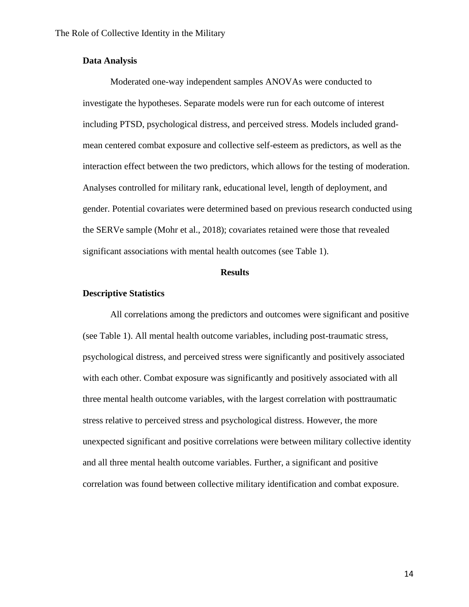### **Data Analysis**

Moderated one-way independent samples ANOVAs were conducted to investigate the hypotheses. Separate models were run for each outcome of interest including PTSD, psychological distress, and perceived stress. Models included grandmean centered combat exposure and collective self-esteem as predictors, as well as the interaction effect between the two predictors, which allows for the testing of moderation. Analyses controlled for military rank, educational level, length of deployment, and gender. Potential covariates were determined based on previous research conducted using the SERVe sample (Mohr et al., 2018); covariates retained were those that revealed significant associations with mental health outcomes (see Table 1).

#### **Results**

#### **Descriptive Statistics**

All correlations among the predictors and outcomes were significant and positive (see Table 1). All mental health outcome variables, including post-traumatic stress, psychological distress, and perceived stress were significantly and positively associated with each other. Combat exposure was significantly and positively associated with all three mental health outcome variables, with the largest correlation with posttraumatic stress relative to perceived stress and psychological distress. However, the more unexpected significant and positive correlations were between military collective identity and all three mental health outcome variables. Further, a significant and positive correlation was found between collective military identification and combat exposure.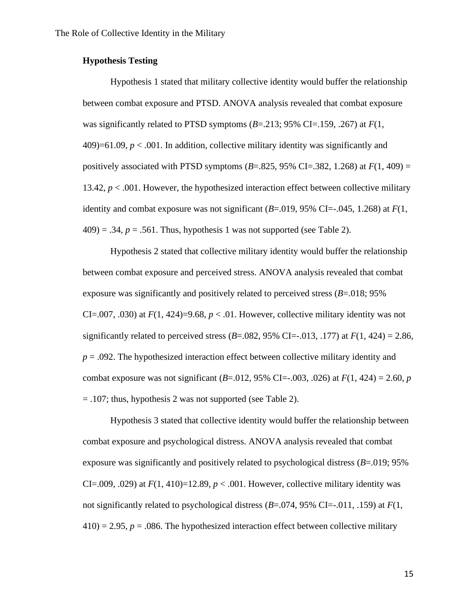# **Hypothesis Testing**

Hypothesis 1 stated that military collective identity would buffer the relationship between combat exposure and PTSD. ANOVA analysis revealed that combat exposure was significantly related to PTSD symptoms (*B*=.213; 95% CI=.159, .267) at *F*(1,  $409$ =61.09,  $p < .001$ . In addition, collective military identity was significantly and positively associated with PTSD symptoms  $(B=.825, 95\% \text{ CI}=.382, 1.268)$  at  $F(1, 409) =$ 13.42, *p* < .001. However, the hypothesized interaction effect between collective military identity and combat exposure was not significant  $(B=.019, 95\% \text{ CI}=.045, 1.268)$  at  $F(1, 1.268)$  $409$ ) = .34,  $p = .561$ . Thus, hypothesis 1 was not supported (see Table 2).

Hypothesis 2 stated that collective military identity would buffer the relationship between combat exposure and perceived stress. ANOVA analysis revealed that combat exposure was significantly and positively related to perceived stress (*B*=.018; 95% CI=.007, .030) at  $F(1, 424)=9.68$ ,  $p < .01$ . However, collective military identity was not significantly related to perceived stress  $(B=.082, 95\% \text{ CI}=-.013, .177)$  at  $F(1, 424) = 2.86$ ,  $p = .092$ . The hypothesized interaction effect between collective military identity and combat exposure was not significant  $(B=012, 95\% \text{ CI}=-.003, .026)$  at  $F(1, 424) = 2.60, p$ = .107; thus, hypothesis 2 was not supported (see Table 2).

Hypothesis 3 stated that collective identity would buffer the relationship between combat exposure and psychological distress. ANOVA analysis revealed that combat exposure was significantly and positively related to psychological distress (*B*=.019; 95% CI=.009, .029) at  $F(1, 410)=12.89$ ,  $p < .001$ . However, collective military identity was not significantly related to psychological distress (*B*=.074, 95% CI=-.011, .159) at *F*(1,  $410$ ) = 2.95,  $p = 0.086$ . The hypothesized interaction effect between collective military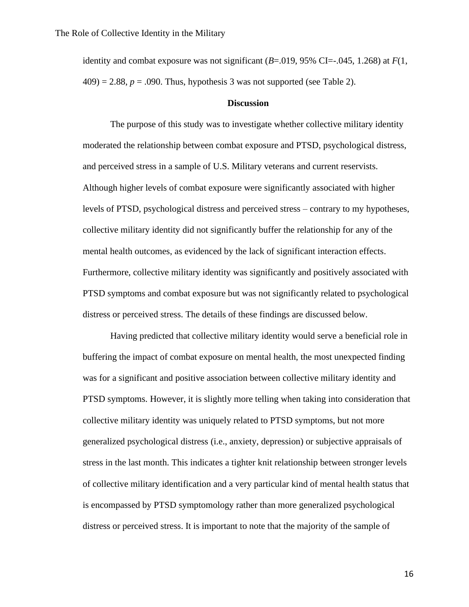identity and combat exposure was not significant  $(B=.019, 95\% \text{ CI}=.045, 1.268)$  at  $F(1, 1.268)$  $409$ ) = 2.88,  $p = .090$ . Thus, hypothesis 3 was not supported (see Table 2).

#### **Discussion**

The purpose of this study was to investigate whether collective military identity moderated the relationship between combat exposure and PTSD, psychological distress, and perceived stress in a sample of U.S. Military veterans and current reservists. Although higher levels of combat exposure were significantly associated with higher levels of PTSD, psychological distress and perceived stress – contrary to my hypotheses, collective military identity did not significantly buffer the relationship for any of the mental health outcomes, as evidenced by the lack of significant interaction effects. Furthermore, collective military identity was significantly and positively associated with PTSD symptoms and combat exposure but was not significantly related to psychological distress or perceived stress. The details of these findings are discussed below.

Having predicted that collective military identity would serve a beneficial role in buffering the impact of combat exposure on mental health, the most unexpected finding was for a significant and positive association between collective military identity and PTSD symptoms. However, it is slightly more telling when taking into consideration that collective military identity was uniquely related to PTSD symptoms, but not more generalized psychological distress (i.e., anxiety, depression) or subjective appraisals of stress in the last month. This indicates a tighter knit relationship between stronger levels of collective military identification and a very particular kind of mental health status that is encompassed by PTSD symptomology rather than more generalized psychological distress or perceived stress. It is important to note that the majority of the sample of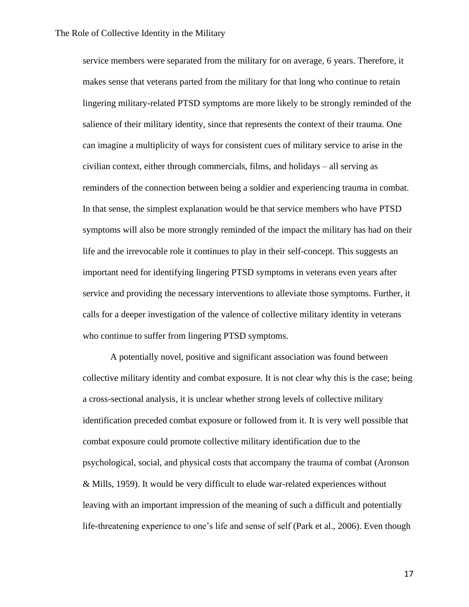service members were separated from the military for on average, 6 years. Therefore, it makes sense that veterans parted from the military for that long who continue to retain lingering military-related PTSD symptoms are more likely to be strongly reminded of the salience of their military identity, since that represents the context of their trauma. One can imagine a multiplicity of ways for consistent cues of military service to arise in the civilian context, either through commercials, films, and holidays – all serving as reminders of the connection between being a soldier and experiencing trauma in combat. In that sense, the simplest explanation would be that service members who have PTSD symptoms will also be more strongly reminded of the impact the military has had on their life and the irrevocable role it continues to play in their self-concept. This suggests an important need for identifying lingering PTSD symptoms in veterans even years after service and providing the necessary interventions to alleviate those symptoms. Further, it calls for a deeper investigation of the valence of collective military identity in veterans who continue to suffer from lingering PTSD symptoms.

A potentially novel, positive and significant association was found between collective military identity and combat exposure. It is not clear why this is the case; being a cross-sectional analysis, it is unclear whether strong levels of collective military identification preceded combat exposure or followed from it. It is very well possible that combat exposure could promote collective military identification due to the psychological, social, and physical costs that accompany the trauma of combat (Aronson & Mills, 1959). It would be very difficult to elude war-related experiences without leaving with an important impression of the meaning of such a difficult and potentially life-threatening experience to one's life and sense of self (Park et al., 2006). Even though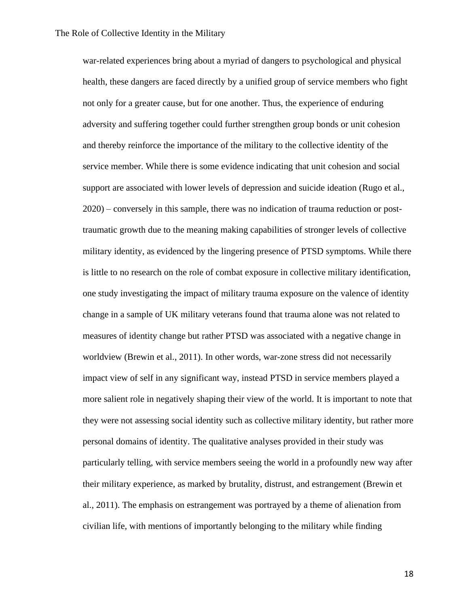war-related experiences bring about a myriad of dangers to psychological and physical health, these dangers are faced directly by a unified group of service members who fight not only for a greater cause, but for one another. Thus, the experience of enduring adversity and suffering together could further strengthen group bonds or unit cohesion and thereby reinforce the importance of the military to the collective identity of the service member. While there is some evidence indicating that unit cohesion and social support are associated with lower levels of depression and suicide ideation (Rugo et al., 2020) – conversely in this sample, there was no indication of trauma reduction or posttraumatic growth due to the meaning making capabilities of stronger levels of collective military identity, as evidenced by the lingering presence of PTSD symptoms. While there is little to no research on the role of combat exposure in collective military identification, one study investigating the impact of military trauma exposure on the valence of identity change in a sample of UK military veterans found that trauma alone was not related to measures of identity change but rather PTSD was associated with a negative change in worldview (Brewin et al., 2011). In other words, war-zone stress did not necessarily impact view of self in any significant way, instead PTSD in service members played a more salient role in negatively shaping their view of the world. It is important to note that they were not assessing social identity such as collective military identity, but rather more personal domains of identity. The qualitative analyses provided in their study was particularly telling, with service members seeing the world in a profoundly new way after their military experience, as marked by brutality, distrust, and estrangement (Brewin et al., 2011). The emphasis on estrangement was portrayed by a theme of alienation from civilian life, with mentions of importantly belonging to the military while finding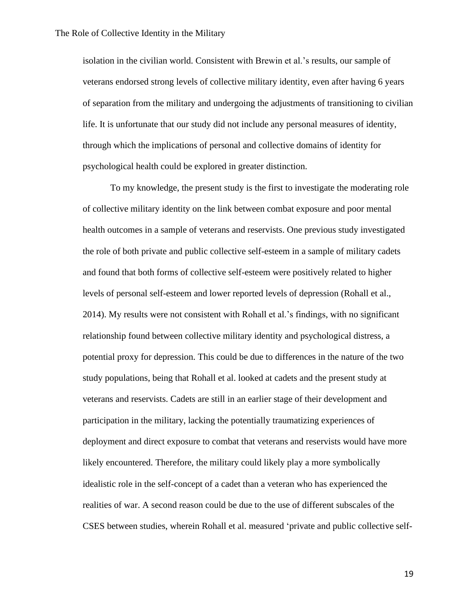isolation in the civilian world. Consistent with Brewin et al.'s results, our sample of veterans endorsed strong levels of collective military identity, even after having 6 years of separation from the military and undergoing the adjustments of transitioning to civilian life. It is unfortunate that our study did not include any personal measures of identity, through which the implications of personal and collective domains of identity for psychological health could be explored in greater distinction.

To my knowledge, the present study is the first to investigate the moderating role of collective military identity on the link between combat exposure and poor mental health outcomes in a sample of veterans and reservists. One previous study investigated the role of both private and public collective self-esteem in a sample of military cadets and found that both forms of collective self-esteem were positively related to higher levels of personal self-esteem and lower reported levels of depression (Rohall et al., 2014). My results were not consistent with Rohall et al.'s findings, with no significant relationship found between collective military identity and psychological distress, a potential proxy for depression. This could be due to differences in the nature of the two study populations, being that Rohall et al. looked at cadets and the present study at veterans and reservists. Cadets are still in an earlier stage of their development and participation in the military, lacking the potentially traumatizing experiences of deployment and direct exposure to combat that veterans and reservists would have more likely encountered. Therefore, the military could likely play a more symbolically idealistic role in the self-concept of a cadet than a veteran who has experienced the realities of war. A second reason could be due to the use of different subscales of the CSES between studies, wherein Rohall et al. measured 'private and public collective self-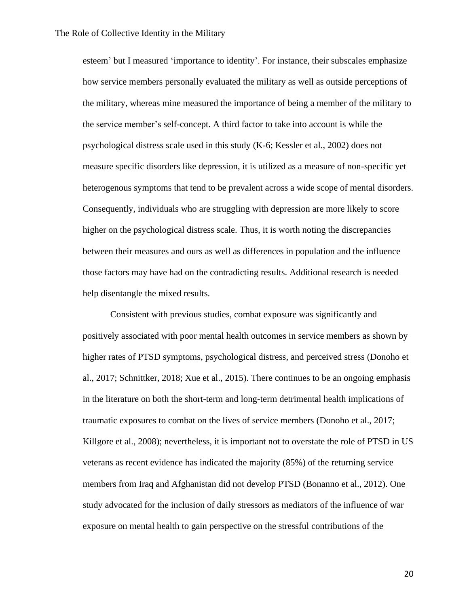esteem' but I measured 'importance to identity'. For instance, their subscales emphasize how service members personally evaluated the military as well as outside perceptions of the military, whereas mine measured the importance of being a member of the military to the service member's self-concept. A third factor to take into account is while the psychological distress scale used in this study (K-6; Kessler et al., 2002) does not measure specific disorders like depression, it is utilized as a measure of non-specific yet heterogenous symptoms that tend to be prevalent across a wide scope of mental disorders. Consequently, individuals who are struggling with depression are more likely to score higher on the psychological distress scale. Thus, it is worth noting the discrepancies between their measures and ours as well as differences in population and the influence those factors may have had on the contradicting results. Additional research is needed help disentangle the mixed results.

Consistent with previous studies, combat exposure was significantly and positively associated with poor mental health outcomes in service members as shown by higher rates of PTSD symptoms, psychological distress, and perceived stress (Donoho et al., 2017; Schnittker, 2018; Xue et al., 2015). There continues to be an ongoing emphasis in the literature on both the short-term and long-term detrimental health implications of traumatic exposures to combat on the lives of service members (Donoho et al., 2017; Killgore et al., 2008); nevertheless, it is important not to overstate the role of PTSD in US veterans as recent evidence has indicated the majority (85%) of the returning service members from Iraq and Afghanistan did not develop PTSD (Bonanno et al., 2012). One study advocated for the inclusion of daily stressors as mediators of the influence of war exposure on mental health to gain perspective on the stressful contributions of the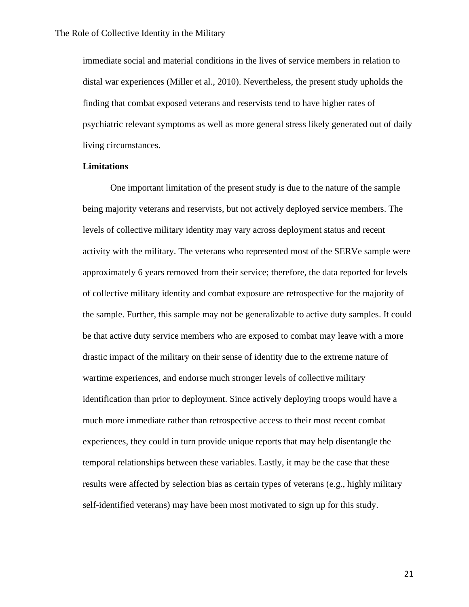immediate social and material conditions in the lives of service members in relation to distal war experiences (Miller et al., 2010). Nevertheless, the present study upholds the finding that combat exposed veterans and reservists tend to have higher rates of psychiatric relevant symptoms as well as more general stress likely generated out of daily living circumstances.

### **Limitations**

One important limitation of the present study is due to the nature of the sample being majority veterans and reservists, but not actively deployed service members. The levels of collective military identity may vary across deployment status and recent activity with the military. The veterans who represented most of the SERVe sample were approximately 6 years removed from their service; therefore, the data reported for levels of collective military identity and combat exposure are retrospective for the majority of the sample. Further, this sample may not be generalizable to active duty samples. It could be that active duty service members who are exposed to combat may leave with a more drastic impact of the military on their sense of identity due to the extreme nature of wartime experiences, and endorse much stronger levels of collective military identification than prior to deployment. Since actively deploying troops would have a much more immediate rather than retrospective access to their most recent combat experiences, they could in turn provide unique reports that may help disentangle the temporal relationships between these variables. Lastly, it may be the case that these results were affected by selection bias as certain types of veterans (e.g., highly military self-identified veterans) may have been most motivated to sign up for this study.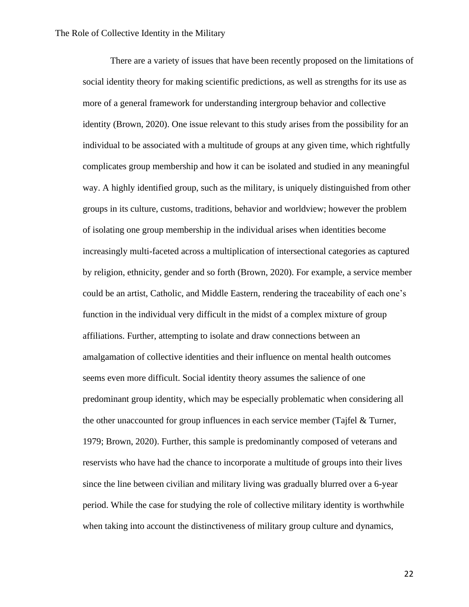There are a variety of issues that have been recently proposed on the limitations of social identity theory for making scientific predictions, as well as strengths for its use as more of a general framework for understanding intergroup behavior and collective identity (Brown, 2020). One issue relevant to this study arises from the possibility for an individual to be associated with a multitude of groups at any given time, which rightfully complicates group membership and how it can be isolated and studied in any meaningful way. A highly identified group, such as the military, is uniquely distinguished from other groups in its culture, customs, traditions, behavior and worldview; however the problem of isolating one group membership in the individual arises when identities become increasingly multi-faceted across a multiplication of intersectional categories as captured by religion, ethnicity, gender and so forth (Brown, 2020). For example, a service member could be an artist, Catholic, and Middle Eastern, rendering the traceability of each one's function in the individual very difficult in the midst of a complex mixture of group affiliations. Further, attempting to isolate and draw connections between an amalgamation of collective identities and their influence on mental health outcomes seems even more difficult. Social identity theory assumes the salience of one predominant group identity, which may be especially problematic when considering all the other unaccounted for group influences in each service member (Tajfel  $\&$  Turner, 1979; Brown, 2020). Further, this sample is predominantly composed of veterans and reservists who have had the chance to incorporate a multitude of groups into their lives since the line between civilian and military living was gradually blurred over a 6-year period. While the case for studying the role of collective military identity is worthwhile when taking into account the distinctiveness of military group culture and dynamics,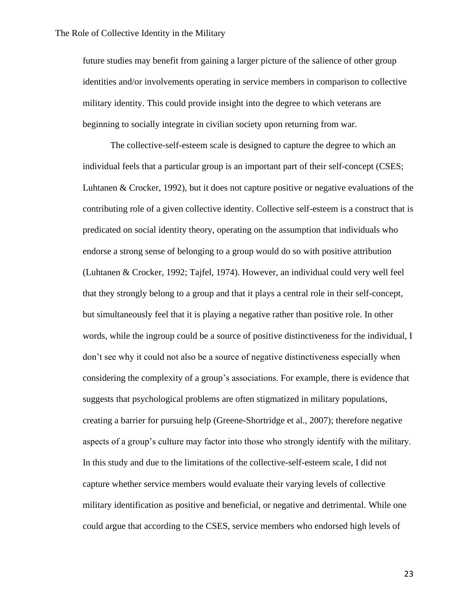future studies may benefit from gaining a larger picture of the salience of other group identities and/or involvements operating in service members in comparison to collective military identity. This could provide insight into the degree to which veterans are beginning to socially integrate in civilian society upon returning from war.

The collective-self-esteem scale is designed to capture the degree to which an individual feels that a particular group is an important part of their self-concept (CSES; Luhtanen & Crocker, 1992), but it does not capture positive or negative evaluations of the contributing role of a given collective identity. Collective self-esteem is a construct that is predicated on social identity theory, operating on the assumption that individuals who endorse a strong sense of belonging to a group would do so with positive attribution (Luhtanen & Crocker, 1992; Tajfel, 1974). However, an individual could very well feel that they strongly belong to a group and that it plays a central role in their self-concept, but simultaneously feel that it is playing a negative rather than positive role. In other words, while the ingroup could be a source of positive distinctiveness for the individual, I don't see why it could not also be a source of negative distinctiveness especially when considering the complexity of a group's associations. For example, there is evidence that suggests that psychological problems are often stigmatized in military populations, creating a barrier for pursuing help (Greene-Shortridge et al., 2007); therefore negative aspects of a group's culture may factor into those who strongly identify with the military. In this study and due to the limitations of the collective-self-esteem scale, I did not capture whether service members would evaluate their varying levels of collective military identification as positive and beneficial, or negative and detrimental. While one could argue that according to the CSES, service members who endorsed high levels of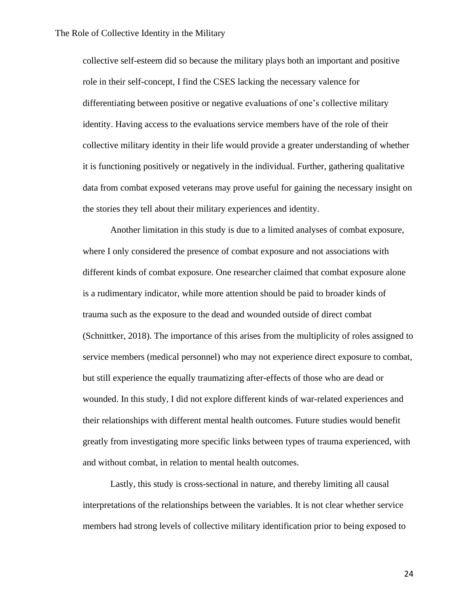collective self-esteem did so because the military plays both an important and positive role in their self-concept, I find the CSES lacking the necessary valence for differentiating between positive or negative evaluations of one's collective military identity. Having access to the evaluations service members have of the role of their collective military identity in their life would provide a greater understanding of whether it is functioning positively or negatively in the individual. Further, gathering qualitative data from combat exposed veterans may prove useful for gaining the necessary insight on the stories they tell about their military experiences and identity.

Another limitation in this study is due to a limited analyses of combat exposure, where I only considered the presence of combat exposure and not associations with different kinds of combat exposure. One researcher claimed that combat exposure alone is a rudimentary indicator, while more attention should be paid to broader kinds of trauma such as the exposure to the dead and wounded outside of direct combat (Schnittker, 2018). The importance of this arises from the multiplicity of roles assigned to service members (medical personnel) who may not experience direct exposure to combat, but still experience the equally traumatizing after-effects of those who are dead or wounded. In this study, I did not explore different kinds of war-related experiences and their relationships with different mental health outcomes. Future studies would benefit greatly from investigating more specific links between types of trauma experienced, with and without combat, in relation to mental health outcomes.

Lastly, this study is cross-sectional in nature, and thereby limiting all causal interpretations of the relationships between the variables. It is not clear whether service members had strong levels of collective military identification prior to being exposed to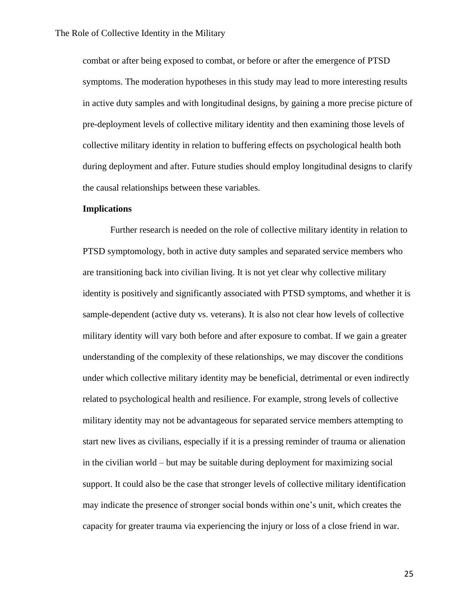combat or after being exposed to combat, or before or after the emergence of PTSD symptoms. The moderation hypotheses in this study may lead to more interesting results in active duty samples and with longitudinal designs, by gaining a more precise picture of pre-deployment levels of collective military identity and then examining those levels of collective military identity in relation to buffering effects on psychological health both during deployment and after. Future studies should employ longitudinal designs to clarify the causal relationships between these variables.

#### **Implications**

Further research is needed on the role of collective military identity in relation to PTSD symptomology, both in active duty samples and separated service members who are transitioning back into civilian living. It is not yet clear why collective military identity is positively and significantly associated with PTSD symptoms, and whether it is sample-dependent (active duty vs. veterans). It is also not clear how levels of collective military identity will vary both before and after exposure to combat. If we gain a greater understanding of the complexity of these relationships, we may discover the conditions under which collective military identity may be beneficial, detrimental or even indirectly related to psychological health and resilience. For example, strong levels of collective military identity may not be advantageous for separated service members attempting to start new lives as civilians, especially if it is a pressing reminder of trauma or alienation in the civilian world – but may be suitable during deployment for maximizing social support. It could also be the case that stronger levels of collective military identification may indicate the presence of stronger social bonds within one's unit, which creates the capacity for greater trauma via experiencing the injury or loss of a close friend in war.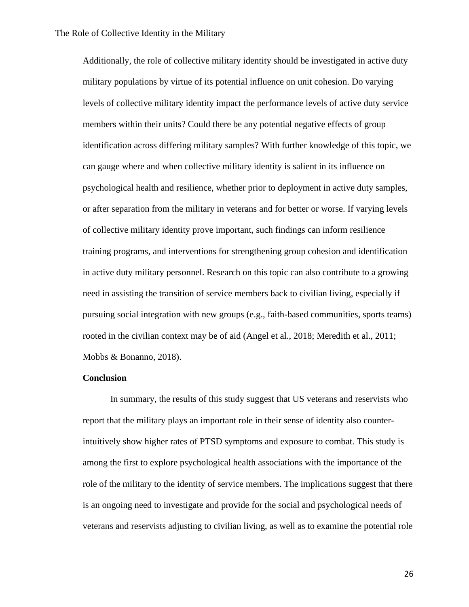Additionally, the role of collective military identity should be investigated in active duty military populations by virtue of its potential influence on unit cohesion. Do varying levels of collective military identity impact the performance levels of active duty service members within their units? Could there be any potential negative effects of group identification across differing military samples? With further knowledge of this topic, we can gauge where and when collective military identity is salient in its influence on psychological health and resilience, whether prior to deployment in active duty samples, or after separation from the military in veterans and for better or worse. If varying levels of collective military identity prove important, such findings can inform resilience training programs, and interventions for strengthening group cohesion and identification in active duty military personnel. Research on this topic can also contribute to a growing need in assisting the transition of service members back to civilian living, especially if pursuing social integration with new groups (e.g., faith-based communities, sports teams) rooted in the civilian context may be of aid (Angel et al., 2018; Meredith et al., 2011; Mobbs & Bonanno, 2018).

### **Conclusion**

In summary, the results of this study suggest that US veterans and reservists who report that the military plays an important role in their sense of identity also counterintuitively show higher rates of PTSD symptoms and exposure to combat. This study is among the first to explore psychological health associations with the importance of the role of the military to the identity of service members. The implications suggest that there is an ongoing need to investigate and provide for the social and psychological needs of veterans and reservists adjusting to civilian living, as well as to examine the potential role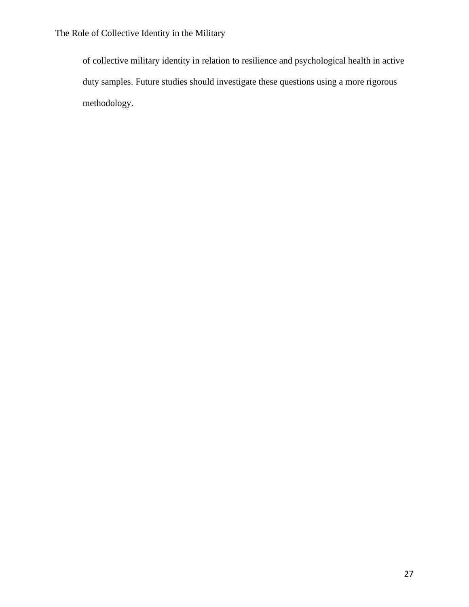of collective military identity in relation to resilience and psychological health in active duty samples. Future studies should investigate these questions using a more rigorous methodology.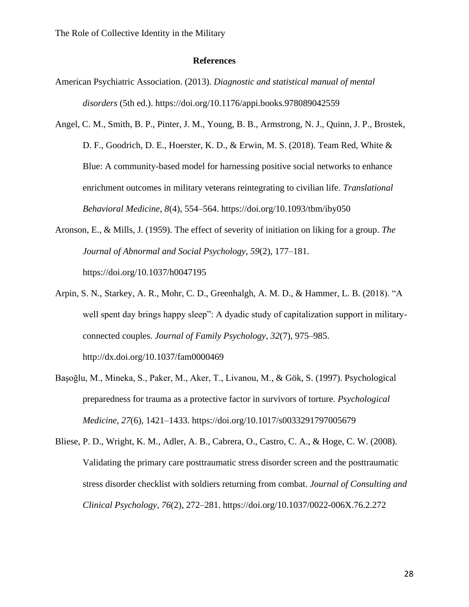The Role of Collective Identity in the Military

#### **References**

- American Psychiatric Association. (2013). *Diagnostic and statistical manual of mental disorders* (5th ed.). https://doi.org/10.1176/appi.books.978089042559
- Angel, C. M., Smith, B. P., Pinter, J. M., Young, B. B., Armstrong, N. J., Quinn, J. P., Brostek, D. F., Goodrich, D. E., Hoerster, K. D., & Erwin, M. S. (2018). Team Red, White & Blue: A community-based model for harnessing positive social networks to enhance enrichment outcomes in military veterans reintegrating to civilian life. *Translational Behavioral Medicine*, *8*(4), 554–564. https://doi.org/10.1093/tbm/iby050
- Aronson, E., & Mills, J. (1959). The effect of severity of initiation on liking for a group. *The Journal of Abnormal and Social Psychology*, *59*(2), 177–181. https://doi.org/10.1037/h0047195
- Arpin, S. N., Starkey, A. R., Mohr, C. D., Greenhalgh, A. M. D., & Hammer, L. B. (2018). "A well spent day brings happy sleep": A dyadic study of capitalization support in militaryconnected couples. *Journal of Family Psychology*, *32*(7), 975–985. http://dx.doi.org/10.1037/fam0000469
- Başoğlu, M., Mineka, S., Paker, M., Aker, T., Livanou, M., & Gök, S. (1997). Psychological preparedness for trauma as a protective factor in survivors of torture. *Psychological Medicine*, *27*(6), 1421–1433. https://doi.org/10.1017/s0033291797005679
- Bliese, P. D., Wright, K. M., Adler, A. B., Cabrera, O., Castro, C. A., & Hoge, C. W. (2008). Validating the primary care posttraumatic stress disorder screen and the posttraumatic stress disorder checklist with soldiers returning from combat. *Journal of Consulting and Clinical Psychology*, *76*(2), 272–281. https://doi.org/10.1037/0022-006X.76.2.272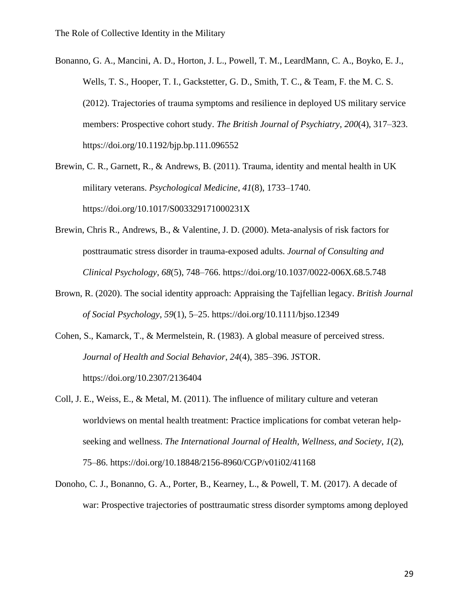Bonanno, G. A., Mancini, A. D., Horton, J. L., Powell, T. M., LeardMann, C. A., Boyko, E. J., Wells, T. S., Hooper, T. I., Gackstetter, G. D., Smith, T. C., & Team, F. the M. C. S. (2012). Trajectories of trauma symptoms and resilience in deployed US military service members: Prospective cohort study. *The British Journal of Psychiatry*, *200*(4), 317–323. https://doi.org/10.1192/bjp.bp.111.096552

Brewin, C. R., Garnett, R., & Andrews, B. (2011). Trauma, identity and mental health in UK military veterans. *Psychological Medicine*, *41*(8), 1733–1740. https://doi.org/10.1017/S003329171000231X

- Brewin, Chris R., Andrews, B., & Valentine, J. D. (2000). Meta-analysis of risk factors for posttraumatic stress disorder in trauma-exposed adults. *Journal of Consulting and Clinical Psychology*, *68*(5), 748–766. https://doi.org/10.1037/0022-006X.68.5.748
- Brown, R. (2020). The social identity approach: Appraising the Tajfellian legacy. *British Journal of Social Psychology*, *59*(1), 5–25. https://doi.org/10.1111/bjso.12349
- Cohen, S., Kamarck, T., & Mermelstein, R. (1983). A global measure of perceived stress. *Journal of Health and Social Behavior*, *24*(4), 385–396. JSTOR. https://doi.org/10.2307/2136404
- Coll, J. E., Weiss, E., & Metal, M. (2011). The influence of military culture and veteran worldviews on mental health treatment: Practice implications for combat veteran helpseeking and wellness. *The International Journal of Health, Wellness, and Society*, *1*(2), 75–86. https://doi.org/10.18848/2156-8960/CGP/v01i02/41168
- Donoho, C. J., Bonanno, G. A., Porter, B., Kearney, L., & Powell, T. M. (2017). A decade of war: Prospective trajectories of posttraumatic stress disorder symptoms among deployed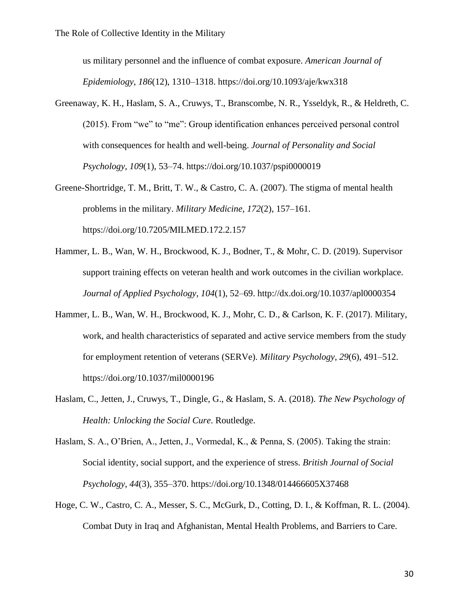us military personnel and the influence of combat exposure. *American Journal of* 

*Epidemiology*, *186*(12), 1310–1318. https://doi.org/10.1093/aje/kwx318

- Greenaway, K. H., Haslam, S. A., Cruwys, T., Branscombe, N. R., Ysseldyk, R., & Heldreth, C. (2015). From "we" to "me": Group identification enhances perceived personal control with consequences for health and well-being. *Journal of Personality and Social Psychology*, *109*(1), 53–74. https://doi.org/10.1037/pspi0000019
- Greene-Shortridge, T. M., Britt, T. W., & Castro, C. A. (2007). The stigma of mental health problems in the military. *Military Medicine*, *172*(2), 157–161. https://doi.org/10.7205/MILMED.172.2.157
- Hammer, L. B., Wan, W. H., Brockwood, K. J., Bodner, T., & Mohr, C. D. (2019). Supervisor support training effects on veteran health and work outcomes in the civilian workplace. *Journal of Applied Psychology*, *104*(1), 52–69. http://dx.doi.org/10.1037/apl0000354
- Hammer, L. B., Wan, W. H., Brockwood, K. J., Mohr, C. D., & Carlson, K. F. (2017). Military, work, and health characteristics of separated and active service members from the study for employment retention of veterans (SERVe). *Military Psychology*, *29*(6), 491–512. https://doi.org/10.1037/mil0000196
- Haslam, C., Jetten, J., Cruwys, T., Dingle, G., & Haslam, S. A. (2018). *The New Psychology of Health: Unlocking the Social Cure*. Routledge.
- Haslam, S. A., O'Brien, A., Jetten, J., Vormedal, K., & Penna, S. (2005). Taking the strain: Social identity, social support, and the experience of stress. *British Journal of Social Psychology*, *44*(3), 355–370. https://doi.org/10.1348/014466605X37468
- Hoge, C. W., Castro, C. A., Messer, S. C., McGurk, D., Cotting, D. I., & Koffman, R. L. (2004). Combat Duty in Iraq and Afghanistan, Mental Health Problems, and Barriers to Care.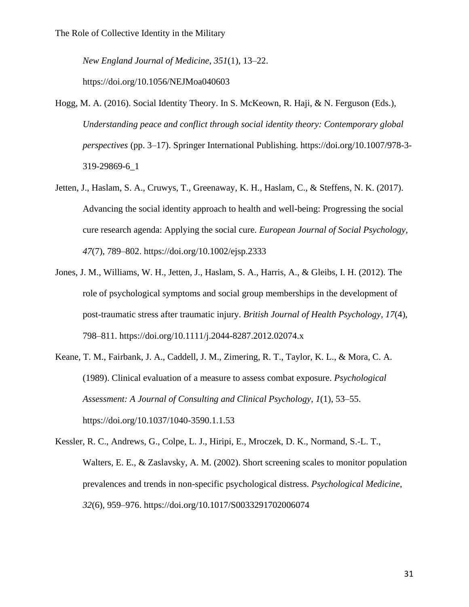*New England Journal of Medicine*, *351*(1), 13–22.

https://doi.org/10.1056/NEJMoa040603

- Hogg, M. A. (2016). Social Identity Theory. In S. McKeown, R. Haji, & N. Ferguson (Eds.), *Understanding peace and conflict through social identity theory: Contemporary global perspectives* (pp. 3–17). Springer International Publishing. https://doi.org/10.1007/978-3- 319-29869-6\_1
- Jetten, J., Haslam, S. A., Cruwys, T., Greenaway, K. H., Haslam, C., & Steffens, N. K. (2017). Advancing the social identity approach to health and well-being: Progressing the social cure research agenda: Applying the social cure. *European Journal of Social Psychology*, *47*(7), 789–802. https://doi.org/10.1002/ejsp.2333
- Jones, J. M., Williams, W. H., Jetten, J., Haslam, S. A., Harris, A., & Gleibs, I. H. (2012). The role of psychological symptoms and social group memberships in the development of post-traumatic stress after traumatic injury. *British Journal of Health Psychology*, *17*(4), 798–811. https://doi.org/10.1111/j.2044-8287.2012.02074.x
- Keane, T. M., Fairbank, J. A., Caddell, J. M., Zimering, R. T., Taylor, K. L., & Mora, C. A. (1989). Clinical evaluation of a measure to assess combat exposure. *Psychological Assessment: A Journal of Consulting and Clinical Psychology*, *1*(1), 53–55. https://doi.org/10.1037/1040-3590.1.1.53

Kessler, R. C., Andrews, G., Colpe, L. J., Hiripi, E., Mroczek, D. K., Normand, S.-L. T., Walters, E. E., & Zaslavsky, A. M. (2002). Short screening scales to monitor population prevalences and trends in non-specific psychological distress. *Psychological Medicine*, *32*(6), 959–976. https://doi.org/10.1017/S0033291702006074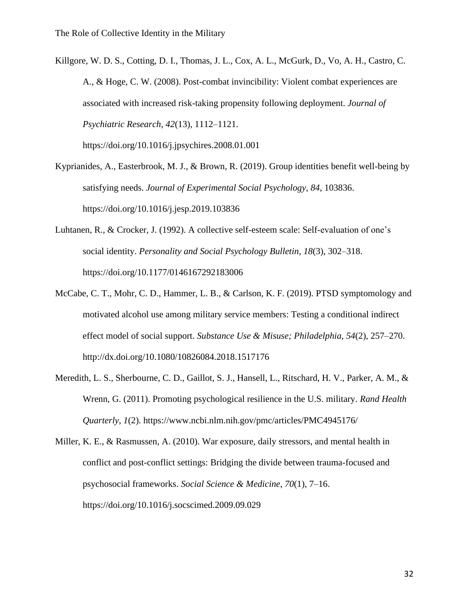Killgore, W. D. S., Cotting, D. I., Thomas, J. L., Cox, A. L., McGurk, D., Vo, A. H., Castro, C. A., & Hoge, C. W. (2008). Post-combat invincibility: Violent combat experiences are associated with increased risk-taking propensity following deployment. *Journal of Psychiatric Research*, *42*(13), 1112–1121.

https://doi.org/10.1016/j.jpsychires.2008.01.001

Kyprianides, A., Easterbrook, M. J., & Brown, R. (2019). Group identities benefit well-being by satisfying needs. *Journal of Experimental Social Psychology*, *84*, 103836. https://doi.org/10.1016/j.jesp.2019.103836

- Luhtanen, R., & Crocker, J. (1992). A collective self-esteem scale: Self-evaluation of one's social identity. *Personality and Social Psychology Bulletin*, *18*(3), 302–318. https://doi.org/10.1177/0146167292183006
- McCabe, C. T., Mohr, C. D., Hammer, L. B., & Carlson, K. F. (2019). PTSD symptomology and motivated alcohol use among military service members: Testing a conditional indirect effect model of social support. *Substance Use & Misuse; Philadelphia*, *54*(2), 257–270. http://dx.doi.org/10.1080/10826084.2018.1517176
- Meredith, L. S., Sherbourne, C. D., Gaillot, S. J., Hansell, L., Ritschard, H. V., Parker, A. M., & Wrenn, G. (2011). Promoting psychological resilience in the U.S. military. *Rand Health Quarterly*, *1*(2). https://www.ncbi.nlm.nih.gov/pmc/articles/PMC4945176/

Miller, K. E., & Rasmussen, A. (2010). War exposure, daily stressors, and mental health in conflict and post-conflict settings: Bridging the divide between trauma-focused and psychosocial frameworks. *Social Science & Medicine*, *70*(1), 7–16. https://doi.org/10.1016/j.socscimed.2009.09.029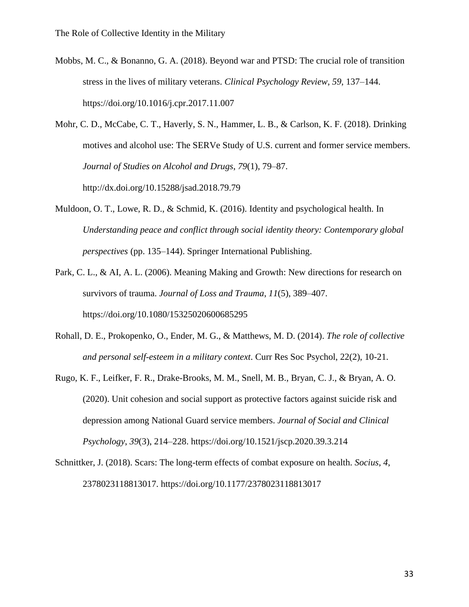- Mobbs, M. C., & Bonanno, G. A. (2018). Beyond war and PTSD: The crucial role of transition stress in the lives of military veterans. *Clinical Psychology Review*, *59*, 137–144. https://doi.org/10.1016/j.cpr.2017.11.007
- Mohr, C. D., McCabe, C. T., Haverly, S. N., Hammer, L. B., & Carlson, K. F. (2018). Drinking motives and alcohol use: The SERVe Study of U.S. current and former service members. *Journal of Studies on Alcohol and Drugs*, *79*(1), 79–87. http://dx.doi.org/10.15288/jsad.2018.79.79
- Muldoon, O. T., Lowe, R. D., & Schmid, K. (2016). Identity and psychological health. In *Understanding peace and conflict through social identity theory: Contemporary global perspectives* (pp. 135–144). Springer International Publishing.
- Park, C. L., & AI, A. L. (2006). Meaning Making and Growth: New directions for research on survivors of trauma. *Journal of Loss and Trauma*, *11*(5), 389–407. https://doi.org/10.1080/15325020600685295
- Rohall, D. E., Prokopenko, O., Ender, M. G., & Matthews, M. D. (2014). *The role of collective and personal self-esteem in a military context*. Curr Res Soc Psychol, 22(2), 10-21.
- Rugo, K. F., Leifker, F. R., Drake-Brooks, M. M., Snell, M. B., Bryan, C. J., & Bryan, A. O. (2020). Unit cohesion and social support as protective factors against suicide risk and depression among National Guard service members. *Journal of Social and Clinical Psychology*, *39*(3), 214–228. https://doi.org/10.1521/jscp.2020.39.3.214
- Schnittker, J. (2018). Scars: The long-term effects of combat exposure on health. *Socius*, *4*, 2378023118813017. https://doi.org/10.1177/2378023118813017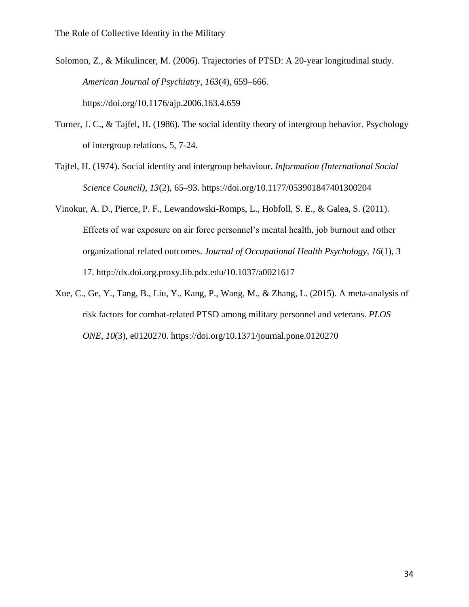- Solomon, Z., & Mikulincer, M. (2006). Trajectories of PTSD: A 20-year longitudinal study. *American Journal of Psychiatry*, *163*(4), 659–666. https://doi.org/10.1176/ajp.2006.163.4.659
- Turner, J. C., & Tajfel, H. (1986). The social identity theory of intergroup behavior. Psychology of intergroup relations, 5, 7-24.
- Tajfel, H. (1974). Social identity and intergroup behaviour. *Information (International Social Science Council)*, *13*(2), 65–93. https://doi.org/10.1177/053901847401300204
- Vinokur, A. D., Pierce, P. F., Lewandowski-Romps, L., Hobfoll, S. E., & Galea, S. (2011). Effects of war exposure on air force personnel's mental health, job burnout and other organizational related outcomes. *Journal of Occupational Health Psychology*, *16*(1), 3– 17. http://dx.doi.org.proxy.lib.pdx.edu/10.1037/a0021617
- Xue, C., Ge, Y., Tang, B., Liu, Y., Kang, P., Wang, M., & Zhang, L. (2015). A meta-analysis of risk factors for combat-related PTSD among military personnel and veterans. *PLOS ONE*, *10*(3), e0120270. https://doi.org/10.1371/journal.pone.0120270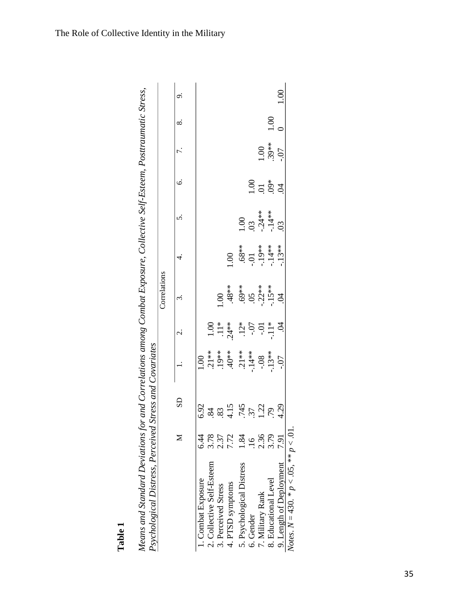|                                          |                  |                                                                          |                                                               |                                                                                  | Correlations                                        |                                                                                        |                                        |                       |                       |                  |  |
|------------------------------------------|------------------|--------------------------------------------------------------------------|---------------------------------------------------------------|----------------------------------------------------------------------------------|-----------------------------------------------------|----------------------------------------------------------------------------------------|----------------------------------------|-----------------------|-----------------------|------------------|--|
|                                          |                  | <b>GS</b>                                                                |                                                               | $\sim$                                                                           | $\dot{\phantom{1}}$                                 |                                                                                        | s.                                     | Ö                     |                       | ∞                |  |
| 1. Combat Exposure                       | 6.4<br>6.4       |                                                                          |                                                               |                                                                                  |                                                     |                                                                                        |                                        |                       |                       |                  |  |
| 2. Collective Self-Esteem                | 3.78             |                                                                          |                                                               |                                                                                  |                                                     |                                                                                        |                                        |                       |                       |                  |  |
| 3. Perceived Stress                      | 2.37             |                                                                          |                                                               |                                                                                  | $\overline{00}$                                     |                                                                                        |                                        |                       |                       |                  |  |
| 4. PTSD symptoms                         | 772              |                                                                          |                                                               |                                                                                  |                                                     |                                                                                        |                                        |                       |                       |                  |  |
| 5. Psychological Distress                | $\overline{.84}$ | $6.92$<br>$6.94$<br>$6.94$<br>$7.9$<br>$7.9$<br>$7.9$<br>$7.9$<br>$4.39$ | 1.00<br>21 ***<br>34 0 ***<br>35 0 - 08<br>40 - 08<br>41 3 ** | $1.00$<br>$11 * *$<br>$24 * * 12 * 07$<br>$-17 * 07$<br>$-17 * 07$<br>$-17 * 07$ | $-48**$<br>$-69**$<br>$-15**$<br>$-15**$<br>$-15**$ | $\frac{68}{3}$<br>$\frac{68}{3}$<br>$\frac{19}{3}$<br>$\frac{14}{3}$<br>$\frac{14}{3}$ |                                        |                       |                       |                  |  |
| 6. Gender                                | $\overline{16}$  |                                                                          |                                                               |                                                                                  |                                                     |                                                                                        |                                        |                       |                       |                  |  |
| 7. Military Rank                         | 2.36             |                                                                          |                                                               |                                                                                  |                                                     |                                                                                        | $1.00$<br>$03$ $34**$<br>$14*$<br>$03$ | $1.00$<br>$0.5$ $0.5$ |                       |                  |  |
| 8. Educational Level                     | 3.79             |                                                                          |                                                               |                                                                                  |                                                     |                                                                                        |                                        |                       | $\frac{1.00}{0.39**}$ | $\frac{1.00}{0}$ |  |
| 9. Length of Deployment                  | 7.91             |                                                                          | $\overline{C}$                                                |                                                                                  |                                                     |                                                                                        |                                        |                       |                       |                  |  |
| Notes. $N = 430. * p < .05, ** p < .01.$ |                  |                                                                          |                                                               |                                                                                  |                                                     |                                                                                        |                                        |                       |                       |                  |  |

*Means and Standard Deviations for and Correlations among Combat Exposure, Collective Self-Esteem, Posttraumatic Stress,*  Means and Standard Deviations for and Correlations among Combat Exposure, Collective Self-Esteem, Posttraumatic Stress, **Table 1**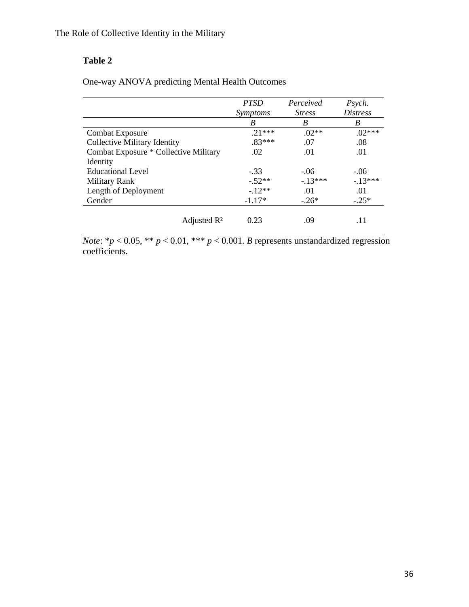# **Table 2**

|                                              | <i>PTSD</i> | Perceived     | Psych.          |
|----------------------------------------------|-------------|---------------|-----------------|
|                                              | Symptoms    | <b>Stress</b> | <i>Distress</i> |
|                                              | B           | B             | B               |
| <b>Combat Exposure</b>                       | $21***$     | $.02**$       | $.02***$        |
| <b>Collective Military Identity</b>          | $.83***$    | .07           | .08             |
| <b>Combat Exposure * Collective Military</b> | .02         | .01           | .01             |
| Identity                                     |             |               |                 |
| <b>Educational Level</b>                     | $-.33$      | $-.06$        | $-.06$          |
| Military Rank                                | $-52**$     | $-13***$      | $-13***$        |
| Length of Deployment                         | $-12**$     | .01           | .01             |
| Gender                                       | $-1.17*$    | $-26*$        | $-25*$          |
|                                              |             |               |                 |
| Adjusted $\mathbb{R}^2$                      | 0.23        | .09           | .11             |

# One-way ANOVA predicting Mental Health Outcomes

*Note*: \* $p < 0.05$ , \*\* $p < 0.01$ , \*\*\*  $p < 0.001$ . *B* represents unstandardized regression coefficients.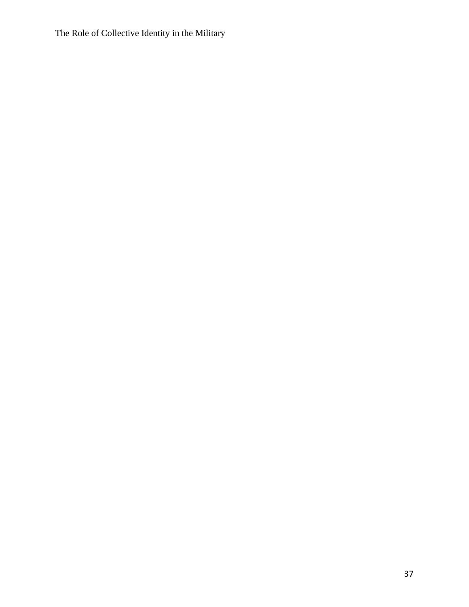The Role of Collective Identity in the Military